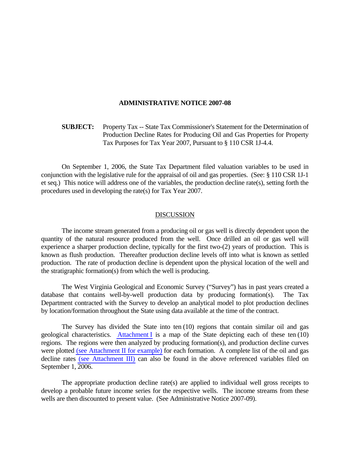## **ADMINISTRATIVE NOTICE 2007-08**

 **SUBJECT:** Property Tax -- State Tax Commissioner's Statement for the Determination of Production Decline Rates for Producing Oil and Gas Properties for Property Tax Purposes for Tax Year 2007, Pursuant to § 110 CSR 1J-4.4.

 On September 1, 2006, the State Tax Department filed valuation variables to be used in conjunction with the legislative rule for the appraisal of oil and gas properties. (See: § 110 CSR 1J-1 et seq.) This notice will address one of the variables, the production decline rate(s), setting forth the procedures used in developing the rate(s) for Tax Year 2007.

## DISCUSSION

 The income stream generated from a producing oil or gas well is directly dependent upon the quantity of the natural resource produced from the well. Once drilled an oil or gas well will experience a sharper production decline, typically for the first two-(2) years of production. This is known as flush production. Thereafter production decline levels off into what is known as settled production. The rate of production decline is dependent upon the physical location of the well and the stratigraphic formation(s) from which the well is producing.

 The West Virginia Geological and Economic Survey ("Survey") has in past years created a database that contains well-by-well production data by producing formation(s). The Tax Department contracted with the Survey to develop an analytical model to plot production declines by location/formation throughout the State using data available at the time of the contract.

 The Survey has divided the State into ten (10) regions that contain similar oil and gas geological characteristics. Attachment I is a map of the State depicting each of these ten (10) regions. The regions were then analyzed by producing formation(s), and production decline curves were plotted (see Attachment II for example) for each formation. A complete list of the oil and gas decline rates (see Attachment III) can also be found in the above referenced variables filed on September 1, 2006.

 The appropriate production decline rate(s) are applied to individual well gross receipts to develop a probable future income series for the respective wells. The income streams from these wells are then discounted to present value. (See Administrative Notice 2007-09).